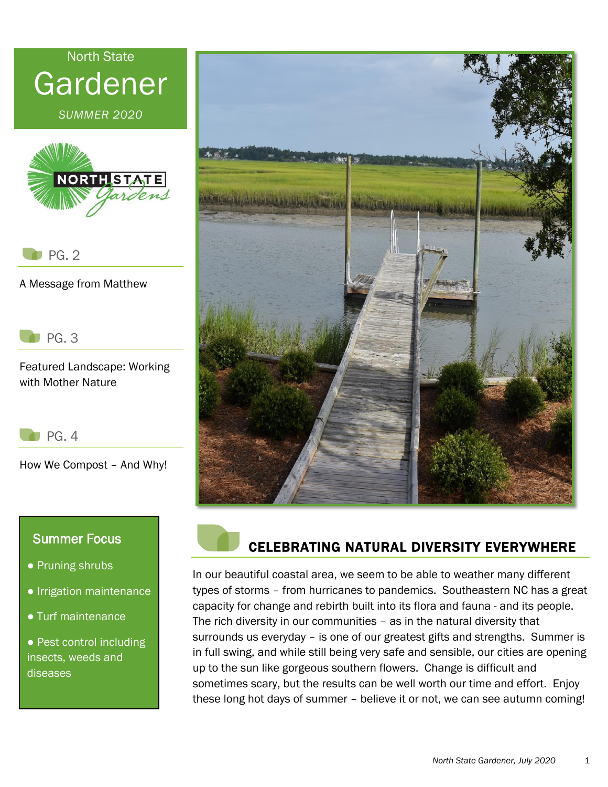# North State Gardener

*SUMMER 2020*



PG. 2

A Message from Matthew

PG. 3

Featured Landscape: Working with Mother Nature

|--|

How We Compost – And Why!

#### Summer Focus

- Pruning shrubs
- Irrigation maintenance
- Turf maintenance

• Pest control including insects, weeds and diseases





### CELEBRATING NATURAL DIVERSITY EVERYWHERE

In our beautiful coastal area, we seem to be able to weather many different types of storms – from hurricanes to pandemics. Southeastern NC has a great capacity for change and rebirth built into its flora and fauna - and its people. The rich diversity in our communities – as in the natural diversity that surrounds us everyday – is one of our greatest gifts and strengths. Summer is in full swing, and while still being very safe and sensible, our cities are opening up to the sun like gorgeous southern flowers. Change is difficult and sometimes scary, but the results can be well worth our time and effort. Enjoy these long hot days of summer – believe it or not, we can see autumn coming!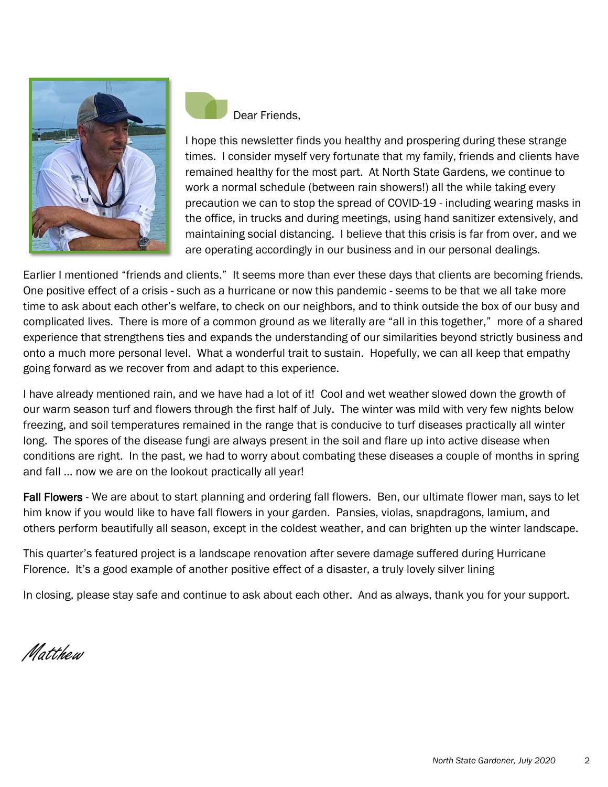

Dear Friends,

I hope this newsletter finds you healthy and prospering during these strange times. I consider myself very fortunate that my family, friends and clients have remained healthy for the most part. At North State Gardens, we continue to work a normal schedule (between rain showers!) all the while taking every precaution we can to stop the spread of COVID-19 - including wearing masks in the office, in trucks and during meetings, using hand sanitizer extensively, and maintaining social distancing. I believe that this crisis is far from over, and we are operating accordingly in our business and in our personal dealings.

Earlier I mentioned "friends and clients." It seems more than ever these days that clients are becoming friends. One positive effect of a crisis - such as a hurricane or now this pandemic - seems to be that we all take more time to ask about each other's welfare, to check on our neighbors, and to think outside the box of our busy and complicated lives. There is more of a common ground as we literally are "all in this together," more of a shared experience that strengthens ties and expands the understanding of our similarities beyond strictly business and onto a much more personal level. What a wonderful trait to sustain. Hopefully, we can all keep that empathy going forward as we recover from and adapt to this experience.

I have already mentioned rain, and we have had a lot of it! Cool and wet weather slowed down the growth of our warm season turf and flowers through the first half of July. The winter was mild with very few nights below freezing, and soil temperatures remained in the range that is conducive to turf diseases practically all winter long. The spores of the disease fungi are always present in the soil and flare up into active disease when conditions are right. In the past, we had to worry about combating these diseases a couple of months in spring and fall … now we are on the lookout practically all year!

Fall Flowers - We are about to start planning and ordering fall flowers. Ben, our ultimate flower man, says to let him know if you would like to have fall flowers in your garden. Pansies, violas, snapdragons, lamium, and others perform beautifully all season, except in the coldest weather, and can brighten up the winter landscape.

This quarter's featured project is a landscape renovation after severe damage suffered during Hurricane Florence. It's a good example of another positive effect of a disaster, a truly lovely silver lining

In closing, please stay safe and continue to ask about each other. And as always, thank you for your support.

*Matthew*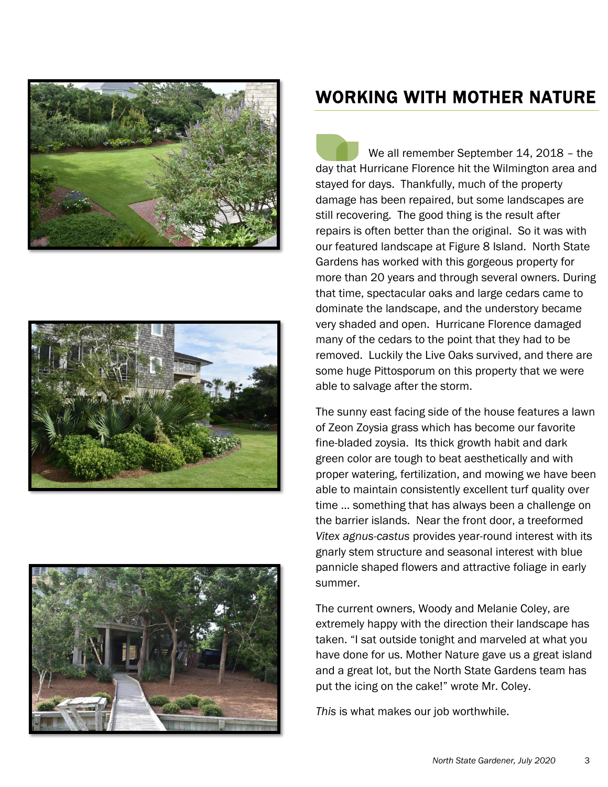





## WORKING WITH MOTHER NATURE

We all remember September 14, 2018 – the day that Hurricane Florence hit the Wilmington area and stayed for days. Thankfully, much of the property damage has been repaired, but some landscapes are still recovering. The good thing is the result after repairs is often better than the original. So it was with our featured landscape at Figure 8 Island. North State Gardens has worked with this gorgeous property for more than 20 years and through several owners. During that time, spectacular oaks and large cedars came to dominate the landscape, and the understory became very shaded and open. Hurricane Florence damaged many of the cedars to the point that they had to be removed. Luckily the Live Oaks survived, and there are some huge Pittosporum on this property that we were able to salvage after the storm.

The sunny east facing side of the house features a lawn of Zeon Zoysia grass which has become our favorite fine-bladed zoysia. Its thick growth habit and dark green color are tough to beat aesthetically and with proper watering, fertilization, and mowing we have been able to maintain consistently excellent turf quality over time … something that has always been a challenge on the barrier islands. Near the front door, a treeformed *Vitex agnus-castus* provides year-round interest with its gnarly stem structure and seasonal interest with blue pannicle shaped flowers and attractive foliage in early summer.

The current owners, Woody and Melanie Coley, are extremely happy with the direction their landscape has taken. "I sat outside tonight and marveled at what you have done for us. Mother Nature gave us a great island and a great lot, but the North State Gardens team has put the icing on the cake!" wrote Mr. Coley.

*This* is what makes our job worthwhile.